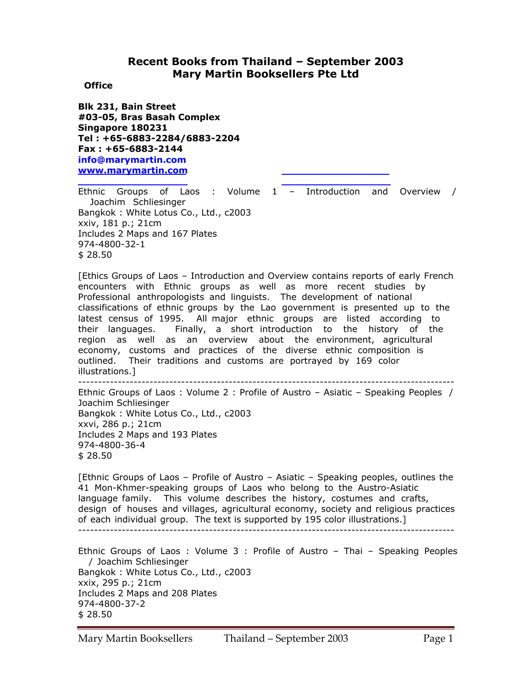# **Recent Books from Thailand – September 2003 Mary Martin Booksellers Pte Ltd**

 **Office** 

**Blk 231, Bain Street #03-05, Bras Basah Complex Singapore 180231 Tel : +65-6883-2284/6883-2204 Fax : +65-6883-2144 info@marymartin.com www.marymartin.com**

Ethnic Groups of Laos : Volume 1 – Introduction and Overview / Joachim Schliesinger Bangkok : White Lotus Co., Ltd., c2003 xxiv, 181 p.; 21cm Includes 2 Maps and 167 Plates 974-4800-32-1 \$ 28.50

[Ethics Groups of Laos – Introduction and Overview contains reports of early French encounters with Ethnic groups as well as more recent studies by Professional anthropologists and linguists. The development of national classifications of ethnic groups by the Lao government is presented up to the latest census of 1995. All major ethnic groups are listed according to their languages. Finally, a short introduction to the history of the region as well as an overview about the environment, agricultural economy, customs and practices of the diverse ethnic composition is outlined. Their traditions and customs are portrayed by 169 color illustrations.] -----------------------------------------------------------------------------------------------

Ethnic Groups of Laos : Volume 2 : Profile of Austro – Asiatic – Speaking Peoples / Joachim Schliesinger Bangkok : White Lotus Co., Ltd., c2003 xxvi, 286 p.; 21cm Includes 2 Maps and 193 Plates 974-4800-36-4 \$ 28.50

[Ethnic Groups of Laos – Profile of Austro – Asiatic – Speaking peoples, outlines the 41 Mon-Khmer-speaking groups of Laos who belong to the Austro-Asiatic language family. This volume describes the history, costumes and crafts, design of houses and villages, agricultural economy, society and religious practices of each individual group. The text is supported by 195 color illustrations.] -----------------------------------------------------------------------------------------------

Ethnic Groups of Laos : Volume 3 : Profile of Austro – Thai – Speaking Peoples / Joachim Schliesinger Bangkok : White Lotus Co., Ltd., c2003 xxix, 295 p.; 21cm Includes 2 Maps and 208 Plates 974-4800-37-2 \$ 28.50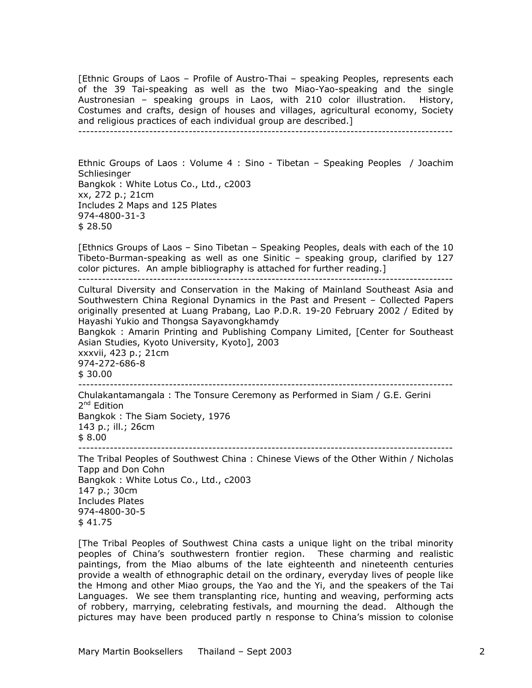[Ethnic Groups of Laos – Profile of Austro-Thai – speaking Peoples, represents each of the 39 Tai-speaking as well as the two Miao-Yao-speaking and the single Austronesian – speaking groups in Laos, with 210 color illustration. History, Costumes and crafts, design of houses and villages, agricultural economy, Society and religious practices of each individual group are described.]

-----------------------------------------------------------------------------------------------

Ethnic Groups of Laos : Volume 4 : Sino - Tibetan – Speaking Peoples / Joachim **Schliesinger** Bangkok : White Lotus Co., Ltd., c2003 xx, 272 p.; 21cm Includes 2 Maps and 125 Plates 974-4800-31-3 \$ 28.50

[Ethnics Groups of Laos – Sino Tibetan – Speaking Peoples, deals with each of the 10 Tibeto-Burman-speaking as well as one Sinitic – speaking group, clarified by 127 color pictures. An ample bibliography is attached for further reading.]

-----------------------------------------------------------------------------------------------

Cultural Diversity and Conservation in the Making of Mainland Southeast Asia and Southwestern China Regional Dynamics in the Past and Present – Collected Papers originally presented at Luang Prabang, Lao P.D.R. 19-20 February 2002 / Edited by Hayashi Yukio and Thongsa Sayavongkhamdy

Bangkok : Amarin Printing and Publishing Company Limited, [Center for Southeast Asian Studies, Kyoto University, Kyoto], 2003

xxxvii, 423 p.; 21cm 974-272-686-8 \$ 30.00 -----------------------------------------------------------------------------------------------

Chulakantamangala : The Tonsure Ceremony as Performed in Siam / G.E. Gerini 2<sup>nd</sup> Edition Bangkok : The Siam Society, 1976 143 p.; ill.; 26cm \$ 8.00 -----------------------------------------------------------------------------------------------

The Tribal Peoples of Southwest China : Chinese Views of the Other Within / Nicholas Tapp and Don Cohn Bangkok : White Lotus Co., Ltd., c2003 147 p.; 30cm Includes Plates 974-4800-30-5 \$ 41.75

[The Tribal Peoples of Southwest China casts a unique light on the tribal minority peoples of China's southwestern frontier region. These charming and realistic paintings, from the Miao albums of the late eighteenth and nineteenth centuries provide a wealth of ethnographic detail on the ordinary, everyday lives of people like the Hmong and other Miao groups, the Yao and the Yi, and the speakers of the Tai Languages. We see them transplanting rice, hunting and weaving, performing acts of robbery, marrying, celebrating festivals, and mourning the dead. Although the pictures may have been produced partly n response to China's mission to colonise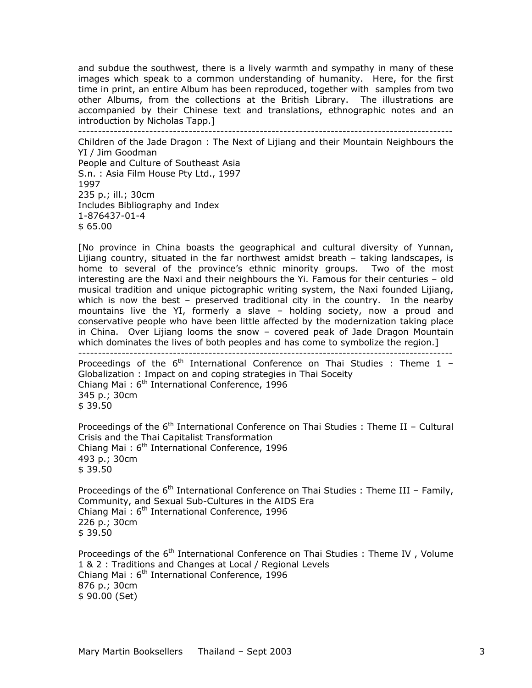and subdue the southwest, there is a lively warmth and sympathy in many of these images which speak to a common understanding of humanity. Here, for the first time in print, an entire Album has been reproduced, together with samples from two other Albums, from the collections at the British Library. The illustrations are accompanied by their Chinese text and translations, ethnographic notes and an introduction by Nicholas Tapp.]

-----------------------------------------------------------------------------------------------

Children of the Jade Dragon : The Next of Lijiang and their Mountain Neighbours the YI / Jim Goodman People and Culture of Southeast Asia S.n. : Asia Film House Pty Ltd., 1997 1997 235 p.; ill.; 30cm Includes Bibliography and Index 1-876437-01-4 \$ 65.00

[No province in China boasts the geographical and cultural diversity of Yunnan, Lijiang country, situated in the far northwest amidst breath – taking landscapes, is home to several of the province's ethnic minority groups. Two of the most interesting are the Naxi and their neighbours the Yi. Famous for their centuries – old musical tradition and unique pictographic writing system, the Naxi founded Lijiang, which is now the best – preserved traditional city in the country. In the nearby mountains live the YI, formerly a slave – holding society, now a proud and conservative people who have been little affected by the modernization taking place in China. Over Lijiang looms the snow – covered peak of Jade Dragon Mountain which dominates the lives of both peoples and has come to symbolize the region.]

----------------------------------------------------------------------------------------------- Proceedings of the  $6<sup>th</sup>$  International Conference on Thai Studies : Theme 1 -

Globalization : Impact on and coping strategies in Thai Soceity Chiang Mai:  $6<sup>th</sup>$  International Conference, 1996 345 p.; 30cm \$ 39.50

Proceedings of the  $6<sup>th</sup>$  International Conference on Thai Studies : Theme II – Cultural Crisis and the Thai Capitalist Transformation Chiang Mai:  $6<sup>th</sup>$  International Conference, 1996 493 p.; 30cm \$ 39.50

Proceedings of the  $6<sup>th</sup>$  International Conference on Thai Studies : Theme III – Family, Community, and Sexual Sub-Cultures in the AIDS Era Chiang Mai:  $6<sup>th</sup>$  International Conference, 1996 226 p.; 30cm \$ 39.50

Proceedings of the 6<sup>th</sup> International Conference on Thai Studies : Theme IV, Volume 1 & 2 : Traditions and Changes at Local / Regional Levels Chiang Mai:  $6<sup>th</sup>$  International Conference, 1996 876 p.; 30cm \$ 90.00 (Set)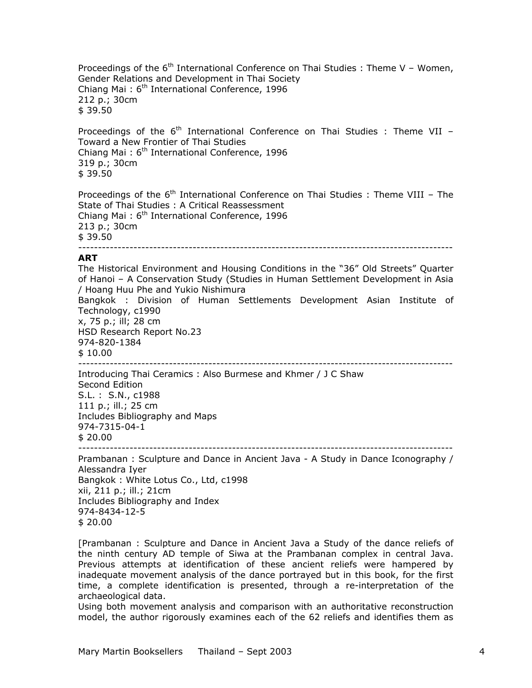Proceedings of the  $6<sup>th</sup>$  International Conference on Thai Studies : Theme V – Women, Gender Relations and Development in Thai Society Chiang Mai:  $6<sup>th</sup>$  International Conference, 1996 212 p.; 30cm \$ 39.50

Proceedings of the  $6<sup>th</sup>$  International Conference on Thai Studies : Theme VII – Toward a New Frontier of Thai Studies Chiang Mai:  $6<sup>th</sup>$  International Conference, 1996 319 p.; 30cm \$ 39.50

Proceedings of the  $6<sup>th</sup>$  International Conference on Thai Studies : Theme VIII – The State of Thai Studies : A Critical Reassessment Chiang Mai:  $6<sup>th</sup>$  International Conference, 1996 213 p.; 30cm \$ 39.50 -----------------------------------------------------------------------------------------------

#### **ART**

The Historical Environment and Housing Conditions in the "36" Old Streets" Quarter of Hanoi – A Conservation Study (Studies in Human Settlement Development in Asia / Hoang Huu Phe and Yukio Nishimura Bangkok : Division of Human Settlements Development Asian Institute of Technology, c1990 x, 75 p.; ill; 28 cm HSD Research Report No.23 974-820-1384 \$ 10.00 ----------------------------------------------------------------------------------------------- Introducing Thai Ceramics : Also Burmese and Khmer / J C Shaw

Second Edition S.L. : S.N., c1988 111 p.; ill.; 25 cm Includes Bibliography and Maps 974-7315-04-1 \$ 20.00

-----------------------------------------------------------------------------------------------

Prambanan : Sculpture and Dance in Ancient Java - A Study in Dance Iconography / Alessandra Iyer Bangkok : White Lotus Co., Ltd, c1998 xii, 211 p.; ill.; 21cm Includes Bibliography and Index 974-8434-12-5 \$ 20.00

[Prambanan : Sculpture and Dance in Ancient Java a Study of the dance reliefs of the ninth century AD temple of Siwa at the Prambanan complex in central Java. Previous attempts at identification of these ancient reliefs were hampered by inadequate movement analysis of the dance portrayed but in this book, for the first time, a complete identification is presented, through a re-interpretation of the archaeological data.

Using both movement analysis and comparison with an authoritative reconstruction model, the author rigorously examines each of the 62 reliefs and identifies them as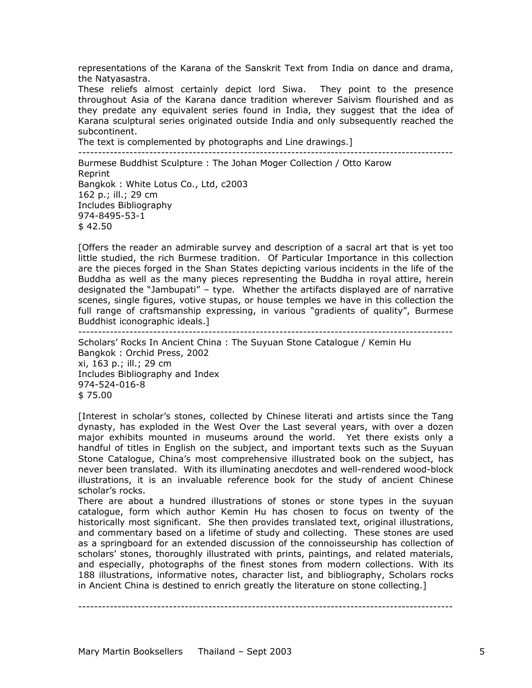representations of the Karana of the Sanskrit Text from India on dance and drama, the Natyasastra.

These reliefs almost certainly depict lord Siwa. They point to the presence throughout Asia of the Karana dance tradition wherever Saivism flourished and as they predate any equivalent series found in India, they suggest that the idea of Karana sculptural series originated outside India and only subsequently reached the subcontinent.

The text is complemented by photographs and Line drawings.]

----------------------------------------------------------------------------------------------- Burmese Buddhist Sculpture : The Johan Moger Collection / Otto Karow Reprint Bangkok : White Lotus Co., Ltd, c2003 162 p.; ill.; 29 cm Includes Bibliography 974-8495-53-1  $$42.50$ 

[Offers the reader an admirable survey and description of a sacral art that is yet too little studied, the rich Burmese tradition. Of Particular Importance in this collection are the pieces forged in the Shan States depicting various incidents in the life of the Buddha as well as the many pieces representing the Buddha in royal attire, herein designated the "Jambupati" – type. Whether the artifacts displayed are of narrative scenes, single figures, votive stupas, or house temples we have in this collection the full range of craftsmanship expressing, in various "gradients of quality", Burmese Buddhist iconographic ideals.]

-----------------------------------------------------------------------------------------------

Scholars' Rocks In Ancient China : The Suyuan Stone Catalogue / Kemin Hu Bangkok : Orchid Press, 2002 xi, 163 p.; ill.; 29 cm Includes Bibliography and Index 974-524-016-8 \$ 75.00

[Interest in scholar's stones, collected by Chinese literati and artists since the Tang dynasty, has exploded in the West Over the Last several years, with over a dozen major exhibits mounted in museums around the world. Yet there exists only a handful of titles in English on the subject, and important texts such as the Suyuan Stone Catalogue, China's most comprehensive illustrated book on the subject, has never been translated. With its illuminating anecdotes and well-rendered wood-block illustrations, it is an invaluable reference book for the study of ancient Chinese scholar's rocks.

There are about a hundred illustrations of stones or stone types in the suyuan catalogue, form which author Kemin Hu has chosen to focus on twenty of the historically most significant. She then provides translated text, original illustrations, and commentary based on a lifetime of study and collecting. These stones are used as a springboard for an extended discussion of the connoisseurship has collection of scholars' stones, thoroughly illustrated with prints, paintings, and related materials, and especially, photographs of the finest stones from modern collections. With its 188 illustrations, informative notes, character list, and bibliography, Scholars rocks in Ancient China is destined to enrich greatly the literature on stone collecting.]

-----------------------------------------------------------------------------------------------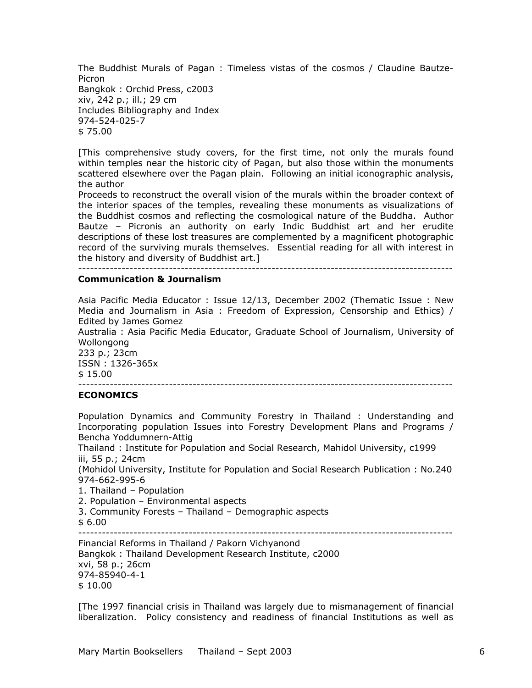The Buddhist Murals of Pagan : Timeless vistas of the cosmos / Claudine Bautze-Picron Bangkok : Orchid Press, c2003 xiv, 242 p.; ill.; 29 cm Includes Bibliography and Index 974-524-025-7 \$ 75.00

[This comprehensive study covers, for the first time, not only the murals found within temples near the historic city of Pagan, but also those within the monuments scattered elsewhere over the Pagan plain. Following an initial iconographic analysis, the author

Proceeds to reconstruct the overall vision of the murals within the broader context of the interior spaces of the temples, revealing these monuments as visualizations of the Buddhist cosmos and reflecting the cosmological nature of the Buddha. Author Bautze – Picronis an authority on early Indic Buddhist art and her erudite descriptions of these lost treasures are complemented by a magnificent photographic record of the surviving murals themselves. Essential reading for all with interest in the history and diversity of Buddhist art.]

-----------------------------------------------------------------------------------------------

# **Communication & Journalism**

Asia Pacific Media Educator : Issue 12/13, December 2002 (Thematic Issue : New Media and Journalism in Asia : Freedom of Expression, Censorship and Ethics) / Edited by James Gomez Australia : Asia Pacific Media Educator, Graduate School of Journalism, University of Wollongong 233 p.; 23cm ISSN : 1326-365x \$ 15.00

-----------------------------------------------------------------------------------------------

#### **ECONOMICS**

Population Dynamics and Community Forestry in Thailand : Understanding and Incorporating population Issues into Forestry Development Plans and Programs / Bencha Yoddumnern-Attig

Thailand : Institute for Population and Social Research, Mahidol University, c1999 iii, 55 p.; 24cm

(Mohidol University, Institute for Population and Social Research Publication : No.240 974-662-995-6

1. Thailand – Population

2. Population – Environmental aspects

- 3. Community Forests Thailand Demographic aspects
- \$ 6.00

-----------------------------------------------------------------------------------------------

Financial Reforms in Thailand / Pakorn Vichyanond Bangkok : Thailand Development Research Institute, c2000 xvi, 58 p.; 26cm 974-85940-4-1 \$ 10.00

[The 1997 financial crisis in Thailand was largely due to mismanagement of financial liberalization. Policy consistency and readiness of financial Institutions as well as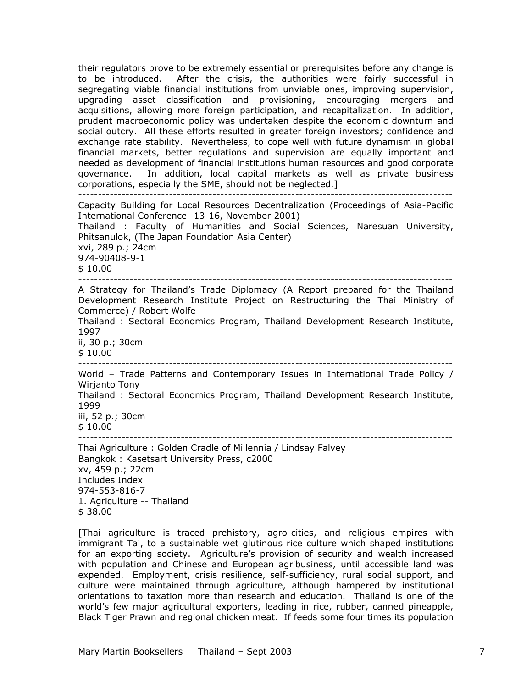their regulators prove to be extremely essential or prerequisites before any change is to be introduced. After the crisis, the authorities were fairly successful in segregating viable financial institutions from unviable ones, improving supervision, upgrading asset classification and provisioning, encouraging mergers and acquisitions, allowing more foreign participation, and recapitalization. In addition, prudent macroeconomic policy was undertaken despite the economic downturn and social outcry. All these efforts resulted in greater foreign investors; confidence and exchange rate stability. Nevertheless, to cope well with future dynamism in global financial markets, better regulations and supervision are equally important and needed as development of financial institutions human resources and good corporate governance. In addition, local capital markets as well as private business corporations, especially the SME, should not be neglected.] ----------------------------------------------------------------------------------------------- Capacity Building for Local Resources Decentralization (Proceedings of Asia-Pacific International Conference- 13-16, November 2001) Thailand : Faculty of Humanities and Social Sciences, Naresuan University, Phitsanulok, (The Japan Foundation Asia Center) xvi, 289 p.; 24cm 974-90408-9-1 \$ 10.00 ----------------------------------------------------------------------------------------------- A Strategy for Thailand's Trade Diplomacy (A Report prepared for the Thailand Development Research Institute Project on Restructuring the Thai Ministry of Commerce) / Robert Wolfe Thailand : Sectoral Economics Program, Thailand Development Research Institute, 1997 ii, 30 p.; 30cm \$ 10.00 ----------------------------------------------------------------------------------------------- World – Trade Patterns and Contemporary Issues in International Trade Policy / Wirjanto Tony Thailand : Sectoral Economics Program, Thailand Development Research Institute, 1999 iii, 52 p.; 30cm  $$10.00$ ----------------------------------------------------------------------------------------------- Thai Agriculture : Golden Cradle of Millennia / Lindsay Falvey Bangkok : Kasetsart University Press, c2000 xv, 459 p.; 22cm Includes Index

974-553-816-7 1. Agriculture -- Thailand \$ 38.00

[Thai agriculture is traced prehistory, agro-cities, and religious empires with immigrant Tai, to a sustainable wet glutinous rice culture which shaped institutions for an exporting society. Agriculture's provision of security and wealth increased with population and Chinese and European agribusiness, until accessible land was expended. Employment, crisis resilience, self-sufficiency, rural social support, and culture were maintained through agriculture, although hampered by institutional orientations to taxation more than research and education. Thailand is one of the world's few major agricultural exporters, leading in rice, rubber, canned pineapple, Black Tiger Prawn and regional chicken meat. If feeds some four times its population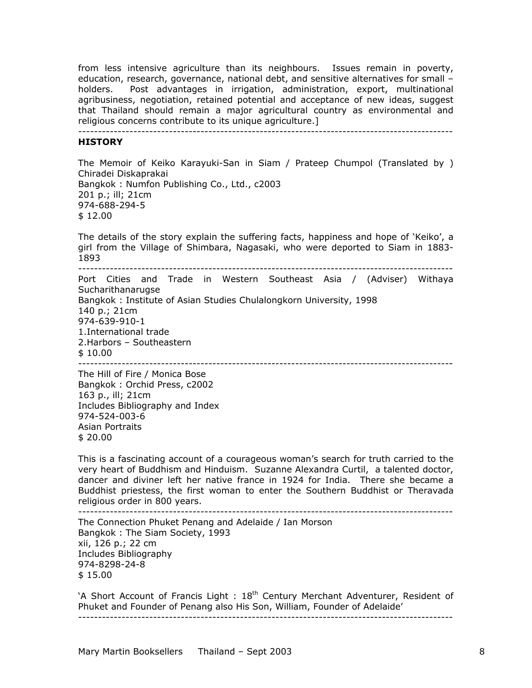from less intensive agriculture than its neighbours. Issues remain in poverty, education, research, governance, national debt, and sensitive alternatives for small – holders. Post advantages in irrigation, administration, export, multinational agribusiness, negotiation, retained potential and acceptance of new ideas, suggest that Thailand should remain a major agricultural country as environmental and religious concerns contribute to its unique agriculture.]

-----------------------------------------------------------------------------------------------

#### **HISTORY**

The Memoir of Keiko Karayuki-San in Siam / Prateep Chumpol (Translated by ) Chiradei Diskaprakai Bangkok : Numfon Publishing Co., Ltd., c2003 201 p.; ill; 21cm 974-688-294-5 \$ 12.00

The details of the story explain the suffering facts, happiness and hope of 'Keiko', a girl from the Village of Shimbara, Nagasaki, who were deported to Siam in 1883- 1893

----------------------------------------------------------------------------------------------- Port Cities and Trade in Western Southeast Asia / (Adviser) Withaya Sucharithanarugse Bangkok : Institute of Asian Studies Chulalongkorn University, 1998 140 p.; 21cm 974-639-910-1 1.International trade 2.Harbors – Southeastern \$ 10.00 -----------------------------------------------------------------------------------------------

The Hill of Fire / Monica Bose Bangkok : Orchid Press, c2002 163 p., ill; 21cm Includes Bibliography and Index 974-524-003-6 Asian Portraits \$ 20.00

This is a fascinating account of a courageous woman's search for truth carried to the very heart of Buddhism and Hinduism. Suzanne Alexandra Curtil, a talented doctor, dancer and diviner left her native france in 1924 for India. There she became a Buddhist priestess, the first woman to enter the Southern Buddhist or Theravada religious order in 800 years.

-----------------------------------------------------------------------------------------------

The Connection Phuket Penang and Adelaide / Ian Morson Bangkok : The Siam Society, 1993 xii, 126 p.; 22 cm Includes Bibliography 974-8298-24-8 \$ 15.00

'A Short Account of Francis Light :  $18<sup>th</sup>$  Century Merchant Adventurer, Resident of Phuket and Founder of Penang also His Son, William, Founder of Adelaide'

-----------------------------------------------------------------------------------------------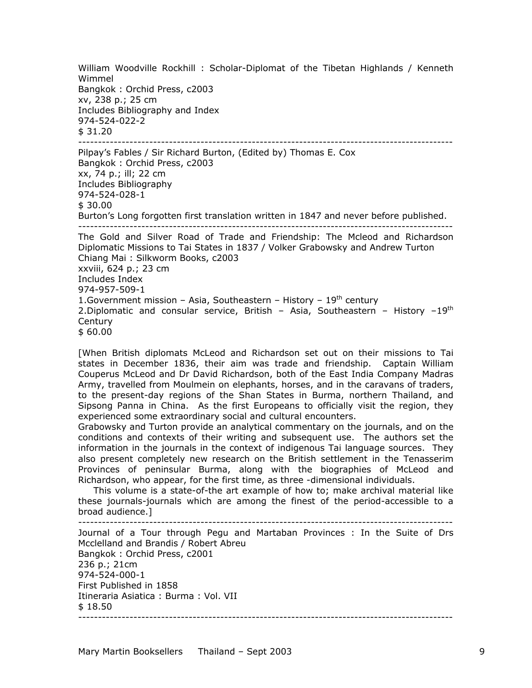William Woodville Rockhill : Scholar-Diplomat of the Tibetan Highlands / Kenneth Wimmel Bangkok : Orchid Press, c2003 xv, 238 p.; 25 cm Includes Bibliography and Index 974-524-022-2 \$ 31.20 -----------------------------------------------------------------------------------------------

Pilpay's Fables / Sir Richard Burton, (Edited by) Thomas E. Cox Bangkok : Orchid Press, c2003 xx, 74 p.; ill; 22 cm Includes Bibliography 974-524-028-1 \$ 30.00 Burton's Long forgotten first translation written in 1847 and never before published. -----------------------------------------------------------------------------------------------

The Gold and Silver Road of Trade and Friendship: The Mcleod and Richardson Diplomatic Missions to Tai States in 1837 / Volker Grabowsky and Andrew Turton Chiang Mai : Silkworm Books, c2003 xxviii, 624 p.; 23 cm Includes Index 974-957-509-1 1.Government mission – Asia, Southeastern – History –  $19<sup>th</sup>$  century 2.Diplomatic and consular service, British - Asia, Southeastern - History  $-19^{th}$ **Century** \$ 60.00

[When British diplomats McLeod and Richardson set out on their missions to Tai states in December 1836, their aim was trade and friendship. Captain William Couperus McLeod and Dr David Richardson, both of the East India Company Madras Army, travelled from Moulmein on elephants, horses, and in the caravans of traders, to the present-day regions of the Shan States in Burma, northern Thailand, and Sipsong Panna in China. As the first Europeans to officially visit the region, they experienced some extraordinary social and cultural encounters.

Grabowsky and Turton provide an analytical commentary on the journals, and on the conditions and contexts of their writing and subsequent use. The authors set the information in the journals in the context of indigenous Tai language sources. They also present completely new research on the British settlement in the Tenasserim Provinces of peninsular Burma, along with the biographies of McLeod and Richardson, who appear, for the first time, as three -dimensional individuals.

 This volume is a state-of-the art example of how to; make archival material like these journals-journals which are among the finest of the period-accessible to a broad audience.] -----------------------------------------------------------------------------------------------

Journal of a Tour through Pegu and Martaban Provinces : In the Suite of Drs Mcclelland and Brandis / Robert Abreu Bangkok : Orchid Press, c2001 236 p.; 21cm 974-524-000-1 First Published in 1858 Itineraria Asiatica : Burma : Vol. VII \$ 18.50 -----------------------------------------------------------------------------------------------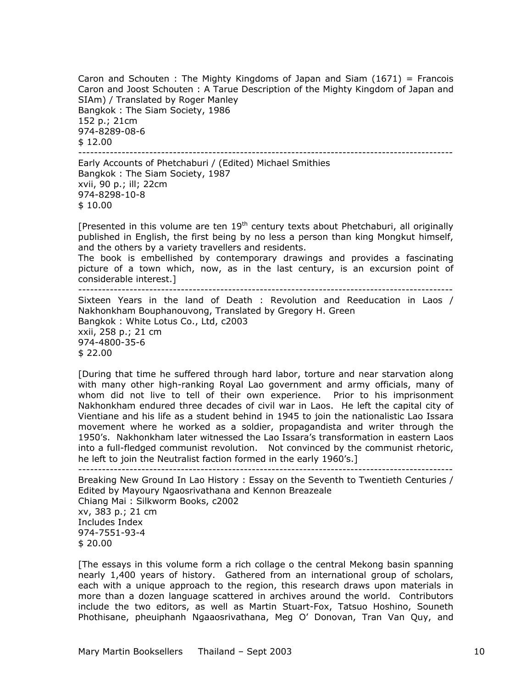Caron and Schouten : The Mighty Kingdoms of Japan and Siam  $(1671)$  = Francois Caron and Joost Schouten : A Tarue Description of the Mighty Kingdom of Japan and SIAm) / Translated by Roger Manley Bangkok : The Siam Society, 1986 152 p.; 21cm 974-8289-08-6 \$ 12.00 -----------------------------------------------------------------------------------------------

Early Accounts of Phetchaburi / (Edited) Michael Smithies Bangkok : The Siam Society, 1987 xvii, 90 p.; ill; 22cm 974-8298-10-8 \$ 10.00

[Presented in this volume are ten  $19<sup>th</sup>$  century texts about Phetchaburi, all originally published in English, the first being by no less a person than king Mongkut himself, and the others by a variety travellers and residents.

The book is embellished by contemporary drawings and provides a fascinating picture of a town which, now, as in the last century, is an excursion point of considerable interest.]

-----------------------------------------------------------------------------------------------

Sixteen Years in the land of Death : Revolution and Reeducation in Laos / Nakhonkham Bouphanouvong, Translated by Gregory H. Green Bangkok : White Lotus Co., Ltd, c2003 xxii, 258 p.; 21 cm 974-4800-35-6

\$ 22.00

[During that time he suffered through hard labor, torture and near starvation along with many other high-ranking Royal Lao government and army officials, many of whom did not live to tell of their own experience. Prior to his imprisonment Nakhonkham endured three decades of civil war in Laos. He left the capital city of Vientiane and his life as a student behind in 1945 to join the nationalistic Lao Issara movement where he worked as a soldier, propagandista and writer through the 1950's. Nakhonkham later witnessed the Lao Issara's transformation in eastern Laos into a full-fledged communist revolution. Not convinced by the communist rhetoric, he left to join the Neutralist faction formed in the early 1960's.]

-----------------------------------------------------------------------------------------------

Breaking New Ground In Lao History : Essay on the Seventh to Twentieth Centuries / Edited by Mayoury Ngaosrivathana and Kennon Breazeale Chiang Mai : Silkworm Books, c2002 xv, 383 p.; 21 cm Includes Index 974-7551-93-4 \$ 20.00

[The essays in this volume form a rich collage o the central Mekong basin spanning nearly 1,400 years of history. Gathered from an international group of scholars, each with a unique approach to the region, this research draws upon materials in more than a dozen language scattered in archives around the world. Contributors include the two editors, as well as Martin Stuart-Fox, Tatsuo Hoshino, Souneth Phothisane, pheuiphanh Ngaaosrivathana, Meg O' Donovan, Tran Van Quy, and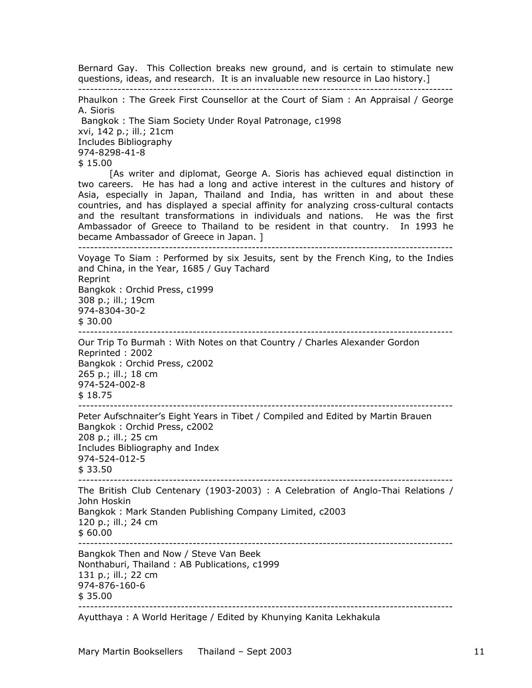Bernard Gay. This Collection breaks new ground, and is certain to stimulate new questions, ideas, and research. It is an invaluable new resource in Lao history.]

-----------------------------------------------------------------------------------------------

Phaulkon : The Greek First Counsellor at the Court of Siam : An Appraisal / George A. Sioris

Bangkok : The Siam Society Under Royal Patronage, c1998

xvi, 142 p.; ill.; 21cm

Includes Bibliography

974-8298-41-8

\$ 15.00

[As writer and diplomat, George A. Sioris has achieved equal distinction in two careers. He has had a long and active interest in the cultures and history of Asia, especially in Japan, Thailand and India, has written in and about these countries, and has displayed a special affinity for analyzing cross-cultural contacts and the resultant transformations in individuals and nations. He was the first Ambassador of Greece to Thailand to be resident in that country. In 1993 he became Ambassador of Greece in Japan. ]

-----------------------------------------------------------------------------------------------

Voyage To Siam : Performed by six Jesuits, sent by the French King, to the Indies and China, in the Year, 1685 / Guy Tachard Reprint Bangkok : Orchid Press, c1999 308 p.; ill.; 19cm 974-8304-30-2 \$ 30.00 ----------------------------------------------------------------------------------------------- Our Trip To Burmah : With Notes on that Country / Charles Alexander Gordon Reprinted : 2002 Bangkok : Orchid Press, c2002 265 p.; ill.; 18 cm 974-524-002-8 \$ 18.75 Peter Aufschnaiter's Eight Years in Tibet / Compiled and Edited by Martin Brauen Bangkok : Orchid Press, c2002 208 p.; ill.; 25 cm Includes Bibliography and Index 974-524-012-5 \$ 33.50 ----------------------------------------------------------------------------------------------- The British Club Centenary (1903-2003) : A Celebration of Anglo-Thai Relations / John Hoskin Bangkok : Mark Standen Publishing Company Limited, c2003 120 p.; ill.; 24 cm  $$60.00$ ----------------------------------------------------------------------------------------------- Bangkok Then and Now / Steve Van Beek Nonthaburi, Thailand : AB Publications, c1999 131 p.; ill.; 22 cm 974-876-160-6 \$ 35.00 -----------------------------------------------------------------------------------------------

Ayutthaya : A World Heritage / Edited by Khunying Kanita Lekhakula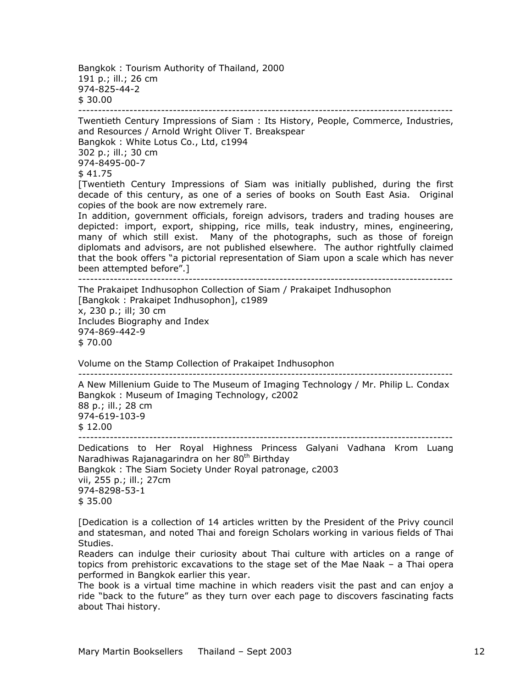Bangkok : Tourism Authority of Thailand, 2000 191 p.; ill.; 26 cm 974-825-44-2 \$ 30.00 -----------------------------------------------------------------------------------------------

Twentieth Century Impressions of Siam : Its History, People, Commerce, Industries, and Resources / Arnold Wright Oliver T. Breakspear Bangkok : White Lotus Co., Ltd, c1994 302 p.; ill.; 30 cm 974-8495-00-7 \$ 41.75 [Twentieth Century Impressions of Siam was initially published, during the first decade of this century, as one of a series of books on South East Asia. Original copies of the book are now extremely rare. In addition, government officials, foreign advisors, traders and trading houses are depicted: import, export, shipping, rice mills, teak industry, mines, engineering, many of which still exist. Many of the photographs, such as those of foreign diplomats and advisors, are not published elsewhere. The author rightfully claimed that the book offers "a pictorial representation of Siam upon a scale which has never been attempted before".] ----------------------------------------------------------------------------------------------- The Prakaipet Indhusophon Collection of Siam / Prakaipet Indhusophon [Bangkok : Prakaipet Indhusophon], c1989 x, 230 p.; ill; 30 cm Includes Biography and Index 974-869-442-9 \$ 70.00 Volume on the Stamp Collection of Prakaipet Indhusophon ----------------------------------------------------------------------------------------------- A New Millenium Guide to The Museum of Imaging Technology / Mr. Philip L. Condax Bangkok : Museum of Imaging Technology, c2002 88 p.; ill.; 28 cm 974-619-103-9 \$ 12.00 ----------------------------------------------------------------------------------------------- Dedications to Her Royal Highness Princess Galyani Vadhana Krom Luang Naradhiwas Rajanagarindra on her 80<sup>th</sup> Birthday Bangkok : The Siam Society Under Royal patronage, c2003 vii, 255 p.; ill.; 27cm 974-8298-53-1 \$ 35.00

[Dedication is a collection of 14 articles written by the President of the Privy council and statesman, and noted Thai and foreign Scholars working in various fields of Thai Studies.

Readers can indulge their curiosity about Thai culture with articles on a range of topics from prehistoric excavations to the stage set of the Mae Naak – a Thai opera performed in Bangkok earlier this year.

The book is a virtual time machine in which readers visit the past and can enjoy a ride "back to the future" as they turn over each page to discovers fascinating facts about Thai history.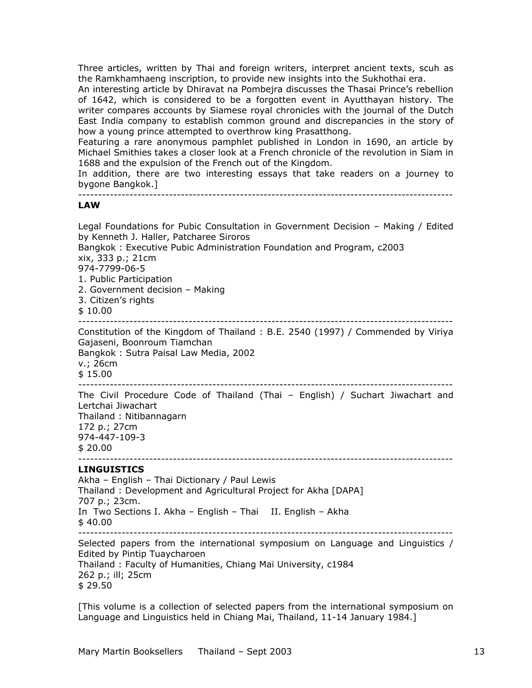Three articles, written by Thai and foreign writers, interpret ancient texts, scuh as the Ramkhamhaeng inscription, to provide new insights into the Sukhothai era.

An interesting article by Dhiravat na Pombejra discusses the Thasai Prince's rebellion of 1642, which is considered to be a forgotten event in Ayutthayan history. The writer compares accounts by Siamese royal chronicles with the journal of the Dutch East India company to establish common ground and discrepancies in the story of how a young prince attempted to overthrow king Prasatthong.

Featuring a rare anonymous pamphlet published in London in 1690, an article by Michael Smithies takes a closer look at a French chronicle of the revolution in Siam in 1688 and the expulsion of the French out of the Kingdom.

In addition, there are two interesting essays that take readers on a journey to bygone Bangkok.]

-----------------------------------------------------------------------------------------------

# **LAW**

Legal Foundations for Pubic Consultation in Government Decision – Making / Edited by Kenneth J. Haller, Patcharee Siroros Bangkok : Executive Pubic Administration Foundation and Program, c2003 xix, 333 p.; 21cm 974-7799-06-5 1. Public Participation 2. Government decision – Making 3. Citizen's rights \$ 10.00 ----------------------------------------------------------------------------------------------- Constitution of the Kingdom of Thailand : B.E. 2540 (1997) / Commended by Viriya Gajaseni, Boonroum Tiamchan Bangkok : Sutra Paisal Law Media, 2002 v.; 26cm  $$15.00$ ----------------------------------------------------------------------------------------------- The Civil Procedure Code of Thailand (Thai – English) / Suchart Jiwachart and Lertchai Jiwachart Thailand : Nitibannagarn 172 p.; 27cm 974-447-109-3 \$ 20.00 ----------------------------------------------------------------------------------------------- **LINGUISTICS**  Akha – English – Thai Dictionary / Paul Lewis Thailand : Development and Agricultural Project for Akha [DAPA] 707 p.; 23cm. In Two Sections I. Akha – English – Thai II. English – Akha \$ 40.00 Selected papers from the international symposium on Language and Linguistics / Edited by Pintip Tuaycharoen Thailand : Faculty of Humanities, Chiang Mai University, c1984 262 p.; ill; 25cm \$ 29.50

[This volume is a collection of selected papers from the international symposium on Language and Linguistics held in Chiang Mai, Thailand, 11-14 January 1984.]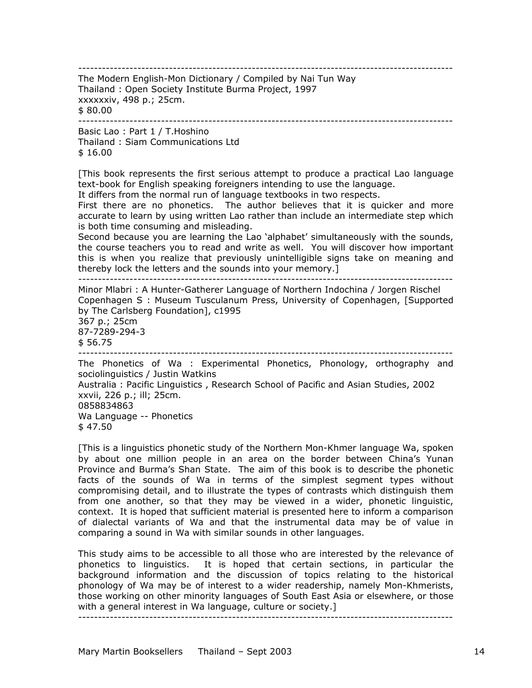-----------------------------------------------------------------------------------------------

The Modern English-Mon Dictionary / Compiled by Nai Tun Way Thailand : Open Society Institute Burma Project, 1997 xxxxxxiv, 498 p.; 25cm. \$ 80.00

-----------------------------------------------------------------------------------------------

Basic Lao : Part 1 / T.Hoshino Thailand : Siam Communications Ltd \$ 16.00

[This book represents the first serious attempt to produce a practical Lao language text-book for English speaking foreigners intending to use the language. It differs from the normal run of language textbooks in two respects.

First there are no phonetics. The author believes that it is quicker and more accurate to learn by using written Lao rather than include an intermediate step which is both time consuming and misleading.

Second because you are learning the Lao 'alphabet' simultaneously with the sounds, the course teachers you to read and write as well. You will discover how important this is when you realize that previously unintelligible signs take on meaning and thereby lock the letters and the sounds into your memory.]

-----------------------------------------------------------------------------------------------

Minor Mlabri : A Hunter-Gatherer Language of Northern Indochina / Jorgen Rischel Copenhagen S : Museum Tusculanum Press, University of Copenhagen, [Supported by The Carlsberg Foundation], c1995

367 p.; 25cm 87-7289-294-3 \$ 56.75

-----------------------------------------------------------------------------------------------

The Phonetics of Wa : Experimental Phonetics, Phonology, orthography and sociolinguistics / Justin Watkins Australia : Pacific Linguistics , Research School of Pacific and Asian Studies, 2002 xxvii, 226 p.; ill; 25cm. 0858834863 Wa Language -- Phonetics

 $$47.50$ 

[This is a linguistics phonetic study of the Northern Mon-Khmer language Wa, spoken by about one million people in an area on the border between China's Yunan Province and Burma's Shan State. The aim of this book is to describe the phonetic facts of the sounds of Wa in terms of the simplest segment types without compromising detail, and to illustrate the types of contrasts which distinguish them from one another, so that they may be viewed in a wider, phonetic linguistic, context. It is hoped that sufficient material is presented here to inform a comparison of dialectal variants of Wa and that the instrumental data may be of value in comparing a sound in Wa with similar sounds in other languages.

This study aims to be accessible to all those who are interested by the relevance of phonetics to linguistics. It is hoped that certain sections, in particular the background information and the discussion of topics relating to the historical phonology of Wa may be of interest to a wider readership, namely Mon-Khmerists, those working on other minority languages of South East Asia or elsewhere, or those with a general interest in Wa language, culture or society.]

-----------------------------------------------------------------------------------------------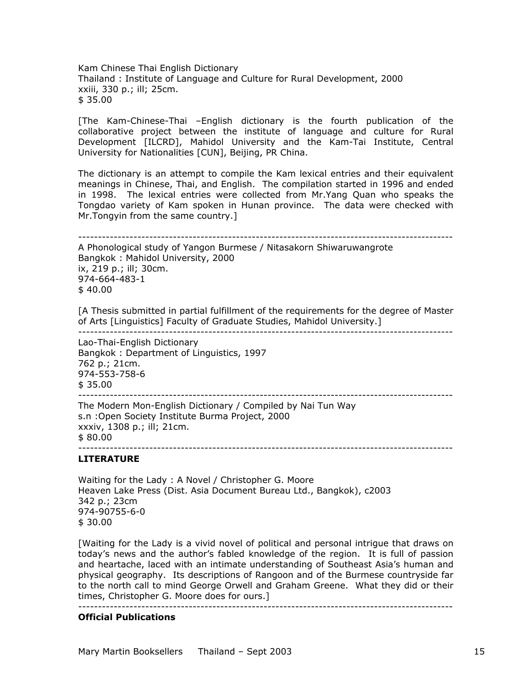Kam Chinese Thai English Dictionary Thailand : Institute of Language and Culture for Rural Development, 2000 xxiii, 330 p.; ill; 25cm. \$ 35.00

[The Kam-Chinese-Thai –English dictionary is the fourth publication of the collaborative project between the institute of language and culture for Rural Development [ILCRD], Mahidol University and the Kam-Tai Institute, Central University for Nationalities [CUN], Beijing, PR China.

The dictionary is an attempt to compile the Kam lexical entries and their equivalent meanings in Chinese, Thai, and English. The compilation started in 1996 and ended in 1998. The lexical entries were collected from Mr.Yang Quan who speaks the Tongdao variety of Kam spoken in Hunan province. The data were checked with Mr.Tongyin from the same country.]

----------------------------------------------------------------------------------------------- A Phonological study of Yangon Burmese / Nitasakorn Shiwaruwangrote Bangkok : Mahidol University, 2000 ix, 219 p.; ill; 30cm. 974-664-483-1  $$40.00$ 

[A Thesis submitted in partial fulfillment of the requirements for the degree of Master of Arts [Linguistics] Faculty of Graduate Studies, Mahidol University.]

-----------------------------------------------------------------------------------------------

Lao-Thai-English Dictionary Bangkok : Department of Linguistics, 1997 762 p.; 21cm. 974-553-758-6 \$ 35.00 -----------------------------------------------------------------------------------------------

The Modern Mon-English Dictionary / Compiled by Nai Tun Way s.n :Open Society Institute Burma Project, 2000 xxxiv, 1308 p.; ill; 21cm. \$ 80.00 -----------------------------------------------------------------------------------------------

# **LITERATURE**

Waiting for the Lady : A Novel / Christopher G. Moore Heaven Lake Press (Dist. Asia Document Bureau Ltd., Bangkok), c2003 342 p.; 23cm 974-90755-6-0 \$ 30.00

[Waiting for the Lady is a vivid novel of political and personal intrigue that draws on today's news and the author's fabled knowledge of the region. It is full of passion and heartache, laced with an intimate understanding of Southeast Asia's human and physical geography. Its descriptions of Rangoon and of the Burmese countryside far to the north call to mind George Orwell and Graham Greene. What they did or their times, Christopher G. Moore does for ours.]

#### -----------------------------------------------------------------------------------------------

### **Official Publications**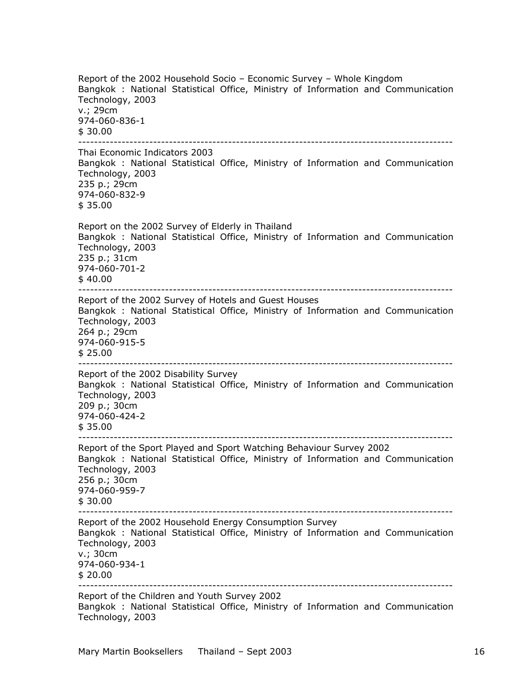Report of the 2002 Household Socio – Economic Survey – Whole Kingdom Bangkok : National Statistical Office, Ministry of Information and Communication Technology, 2003 v.; 29cm 974-060-836-1 \$ 30.00 ----------------------------------------------------------------------------------------------- Thai Economic Indicators 2003 Bangkok : National Statistical Office, Ministry of Information and Communication Technology, 2003 235 p.; 29cm 974-060-832-9 \$ 35.00 Report on the 2002 Survey of Elderly in Thailand Bangkok : National Statistical Office, Ministry of Information and Communication Technology, 2003 235 p.; 31cm 974-060-701-2  $$40.00$ ----------------------------------------------------------------------------------------------- Report of the 2002 Survey of Hotels and Guest Houses Bangkok : National Statistical Office, Ministry of Information and Communication Technology, 2003 264 p.; 29cm 974-060-915-5 \$ 25.00 ----------------------------------------------------------------------------------------------- Report of the 2002 Disability Survey Bangkok : National Statistical Office, Ministry of Information and Communication Technology, 2003 209 p.; 30cm 974-060-424-2 \$ 35.00 ----------------------------------------------------------------------------------------------- Report of the Sport Played and Sport Watching Behaviour Survey 2002 Bangkok : National Statistical Office, Ministry of Information and Communication Technology, 2003 256 p.; 30cm 974-060-959-7 \$ 30.00 ----------------------------------------------------------------------------------------------- Report of the 2002 Household Energy Consumption Survey Bangkok : National Statistical Office, Ministry of Information and Communication Technology, 2003 v.; 30cm 974-060-934-1 \$ 20.00 ----------------------------------------------------------------------------------------------- Report of the Children and Youth Survey 2002 Bangkok : National Statistical Office, Ministry of Information and Communication Technology, 2003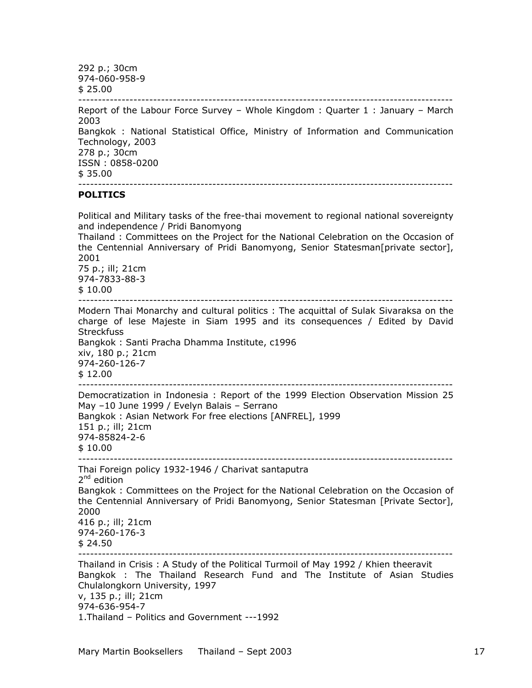292 p.; 30cm 974-060-958-9 \$ 25.00 ----------------------------------------------------------------------------------------------- Report of the Labour Force Survey – Whole Kingdom : Quarter 1 : January – March 2003 Bangkok : National Statistical Office, Ministry of Information and Communication Technology, 2003 278 p.; 30cm ISSN : 0858-0200  $$35.00$ ----------------------------------------------------------------------------------------------- **POLITICS**  Political and Military tasks of the free-thai movement to regional national sovereignty and independence / Pridi Banomyong Thailand : Committees on the Project for the National Celebration on the Occasion of the Centennial Anniversary of Pridi Banomyong, Senior Statesman[private sector], 2001 75 p.; ill; 21cm

974-7833-88-3 \$ 10.00

-----------------------------------------------------------------------------------------------

Modern Thai Monarchy and cultural politics : The acquittal of Sulak Sivaraksa on the charge of lese Majeste in Siam 1995 and its consequences / Edited by David **Streckfuss** Bangkok : Santi Pracha Dhamma Institute, c1996 xiv, 180 p.; 21cm 974-260-126-7 \$ 12.00 -----------------------------------------------------------------------------------------------

Democratization in Indonesia : Report of the 1999 Election Observation Mission 25 May –10 June 1999 / Evelyn Balais – Serrano Bangkok : Asian Network For free elections [ANFREL], 1999 151 p.; ill; 21cm 974-85824-2-6 \$ 10.00 -----------------------------------------------------------------------------------------------

Thai Foreign policy 1932-1946 / Charivat santaputra  $2^{nd}$  edition Bangkok : Committees on the Project for the National Celebration on the Occasion of

the Centennial Anniversary of Pridi Banomyong, Senior Statesman [Private Sector], 2000 416 p.; ill; 21cm 974-260-176-3

 $$24.50$ 

-----------------------------------------------------------------------------------------------

Thailand in Crisis : A Study of the Political Turmoil of May 1992 / Khien theeravit Bangkok : The Thailand Research Fund and The Institute of Asian Studies Chulalongkorn University, 1997 v, 135 p.; ill; 21cm 974-636-954-7 1.Thailand – Politics and Government ---1992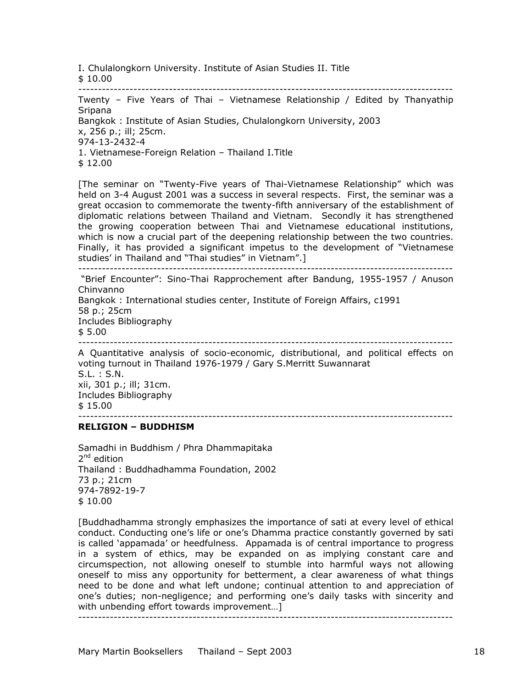I. Chulalongkorn University. Institute of Asian Studies II. Title

\$ 10.00

-----------------------------------------------------------------------------------------------

Twenty – Five Years of Thai – Vietnamese Relationship / Edited by Thanyathip Sripana

Bangkok : Institute of Asian Studies, Chulalongkorn University, 2003

x, 256 p.; ill; 25cm.

974-13-2432-4

1. Vietnamese-Foreign Relation – Thailand I.Title

\$ 12.00

[The seminar on "Twenty-Five years of Thai-Vietnamese Relationship" which was held on 3-4 August 2001 was a success in several respects. First, the seminar was a great occasion to commemorate the twenty-fifth anniversary of the establishment of diplomatic relations between Thailand and Vietnam. Secondly it has strengthened the growing cooperation between Thai and Vietnamese educational institutions, which is now a crucial part of the deepening relationship between the two countries. Finally, it has provided a significant impetus to the development of "Vietnamese studies' in Thailand and "Thai studies" in Vietnam".] -----------------------------------------------------------------------------------------------

 "Brief Encounter": Sino-Thai Rapprochement after Bandung, 1955-1957 / Anuson Chinvanno Bangkok : International studies center, Institute of Foreign Affairs, c1991 58 p.; 25cm

Includes Bibliography  $$5.00$ 

-----------------------------------------------------------------------------------------------

A Quantitative analysis of socio-economic, distributional, and political effects on voting turnout in Thailand 1976-1979 / Gary S.Merritt Suwannarat S.L. : S.N. xii, 301 p.; ill; 31cm. Includes Bibliography \$ 15.00 -----------------------------------------------------------------------------------------------

#### **RELIGION – BUDDHISM**

Samadhi in Buddhism / Phra Dhammapitaka  $2<sup>nd</sup>$  edition Thailand : Buddhadhamma Foundation, 2002 73 p.; 21cm 974-7892-19-7 \$ 10.00

[Buddhadhamma strongly emphasizes the importance of sati at every level of ethical conduct. Conducting one's life or one's Dhamma practice constantly governed by sati is called 'appamada' or heedfulness. Appamada is of central importance to progress in a system of ethics, may be expanded on as implying constant care and circumspection, not allowing oneself to stumble into harmful ways not allowing oneself to miss any opportunity for betterment, a clear awareness of what things need to be done and what left undone; continual attention to and appreciation of one's duties; non-negligence; and performing one's daily tasks with sincerity and with unbending effort towards improvement…]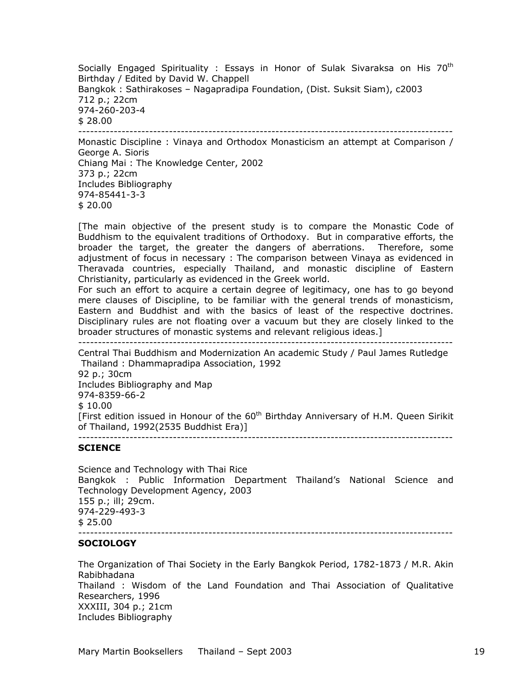Socially Engaged Spirituality : Essays in Honor of Sulak Sivaraksa on His  $70<sup>th</sup>$ Birthday / Edited by David W. Chappell Bangkok : Sathirakoses – Nagapradipa Foundation, (Dist. Suksit Siam), c2003 712 p.; 22cm 974-260-203-4 \$ 28.00 ----------------------------------------------------------------------------------------------- Monastic Discipline : Vinaya and Orthodox Monasticism an attempt at Comparison / George A. Sioris Chiang Mai : The Knowledge Center, 2002 373 p.; 22cm Includes Bibliography 974-85441-3-3

\$ 20.00

[The main objective of the present study is to compare the Monastic Code of Buddhism to the equivalent traditions of Orthodoxy. But in comparative efforts, the broader the target, the greater the dangers of aberrations. Therefore, some adjustment of focus in necessary : The comparison between Vinaya as evidenced in Theravada countries, especially Thailand, and monastic discipline of Eastern Christianity, particularly as evidenced in the Greek world.

For such an effort to acquire a certain degree of legitimacy, one has to go beyond mere clauses of Discipline, to be familiar with the general trends of monasticism, Eastern and Buddhist and with the basics of least of the respective doctrines. Disciplinary rules are not floating over a vacuum but they are closely linked to the broader structures of monastic systems and relevant religious ideas.] -----------------------------------------------------------------------------------------------

Central Thai Buddhism and Modernization An academic Study / Paul James Rutledge Thailand : Dhammapradipa Association, 1992 92 p.; 30cm Includes Bibliography and Map 974-8359-66-2 \$ 10.00 [First edition issued in Honour of the  $60<sup>th</sup>$  Birthday Anniversary of H.M. Queen Sirikit of Thailand, 1992(2535 Buddhist Era)] -----------------------------------------------------------------------------------------------

# **SCIENCE**

Science and Technology with Thai Rice Bangkok : Public Information Department Thailand's National Science and Technology Development Agency, 2003 155 p.; ill; 29cm. 974-229-493-3 \$ 25.00 -----------------------------------------------------------------------------------------------

# **SOCIOLOGY**

The Organization of Thai Society in the Early Bangkok Period, 1782-1873 / M.R. Akin Rabibhadana Thailand : Wisdom of the Land Foundation and Thai Association of Qualitative Researchers, 1996 XXXIII, 304 p.; 21cm Includes Bibliography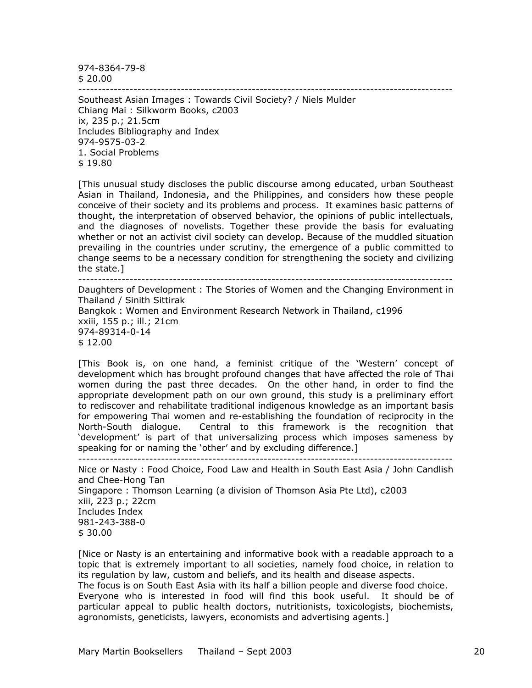974-8364-79-8

\$ 20.00

-----------------------------------------------------------------------------------------------

Southeast Asian Images : Towards Civil Society? / Niels Mulder Chiang Mai : Silkworm Books, c2003 ix, 235 p.; 21.5cm Includes Bibliography and Index 974-9575-03-2 1. Social Problems

\$ 19.80

[This unusual study discloses the public discourse among educated, urban Southeast Asian in Thailand, Indonesia, and the Philippines, and considers how these people conceive of their society and its problems and process. It examines basic patterns of thought, the interpretation of observed behavior, the opinions of public intellectuals, and the diagnoses of novelists. Together these provide the basis for evaluating whether or not an activist civil society can develop. Because of the muddled situation prevailing in the countries under scrutiny, the emergence of a public committed to change seems to be a necessary condition for strengthening the society and civilizing the state.]

-----------------------------------------------------------------------------------------------

Daughters of Development : The Stories of Women and the Changing Environment in Thailand / Sinith Sittirak Bangkok : Women and Environment Research Network in Thailand, c1996 xxiii, 155 p.; ill.; 21cm 974-89314-0-14 \$ 12.00

[This Book is, on one hand, a feminist critique of the 'Western' concept of development which has brought profound changes that have affected the role of Thai women during the past three decades. On the other hand, in order to find the appropriate development path on our own ground, this study is a preliminary effort to rediscover and rehabilitate traditional indigenous knowledge as an important basis for empowering Thai women and re-establishing the foundation of reciprocity in the North-South dialogue. Central to this framework is the recognition that 'development' is part of that universalizing process which imposes sameness by speaking for or naming the 'other' and by excluding difference.] -----------------------------------------------------------------------------------------------

Nice or Nasty : Food Choice, Food Law and Health in South East Asia / John Candlish and Chee-Hong Tan Singapore : Thomson Learning (a division of Thomson Asia Pte Ltd), c2003 xiii, 223 p.; 22cm Includes Index 981-243-388-0 \$ 30.00

[Nice or Nasty is an entertaining and informative book with a readable approach to a topic that is extremely important to all societies, namely food choice, in relation to its regulation by law, custom and beliefs, and its health and disease aspects. The focus is on South East Asia with its half a billion people and diverse food choice. Everyone who is interested in food will find this book useful. It should be of particular appeal to public health doctors, nutritionists, toxicologists, biochemists, agronomists, geneticists, lawyers, economists and advertising agents.]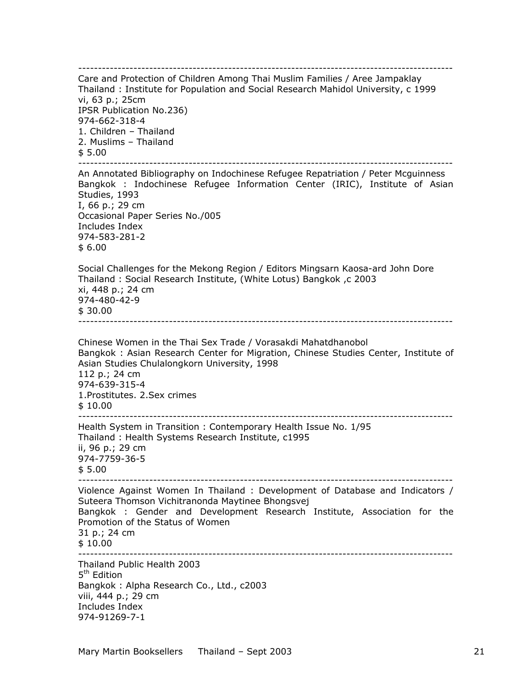----------------------------------------------------------------------------------------------- Care and Protection of Children Among Thai Muslim Families / Aree Jampaklay Thailand : Institute for Population and Social Research Mahidol University, c 1999 vi, 63 p.; 25cm IPSR Publication No.236) 974-662-318-4 1. Children – Thailand 2. Muslims – Thailand \$ 5.00 ----------------------------------------------------------------------------------------------- An Annotated Bibliography on Indochinese Refugee Repatriation / Peter Mcguinness Bangkok : Indochinese Refugee Information Center (IRIC), Institute of Asian Studies, 1993 I, 66 p.; 29 cm Occasional Paper Series No./005 Includes Index 974-583-281-2 \$ 6.00 Social Challenges for the Mekong Region / Editors Mingsarn Kaosa-ard John Dore Thailand : Social Research Institute, (White Lotus) Bangkok ,c 2003 xi, 448 p.; 24 cm 974-480-42-9 \$ 30.00 ----------------------------------------------------------------------------------------------- Chinese Women in the Thai Sex Trade / Vorasakdi Mahatdhanobol Bangkok : Asian Research Center for Migration, Chinese Studies Center, Institute of Asian Studies Chulalongkorn University, 1998 112 p.; 24 cm 974-639-315-4 1.Prostitutes. 2.Sex crimes \$ 10.00 ----------------------------------------------------------------------------------------------- Health System in Transition : Contemporary Health Issue No. 1/95 Thailand : Health Systems Research Institute, c1995 ii, 96 p.; 29 cm 974-7759-36-5 \$ 5.00 ----------------------------------------------------------------------------------------------- Violence Against Women In Thailand : Development of Database and Indicators / Suteera Thomson Vichitranonda Maytinee Bhongsvej Bangkok : Gender and Development Research Institute, Association for the Promotion of the Status of Women 31 p.; 24 cm \$ 10.00 ----------------------------------------------------------------------------------------------- Thailand Public Health 2003 5<sup>th</sup> Edition Bangkok : Alpha Research Co., Ltd., c2003 viii, 444 p.; 29 cm Includes Index 974-91269-7-1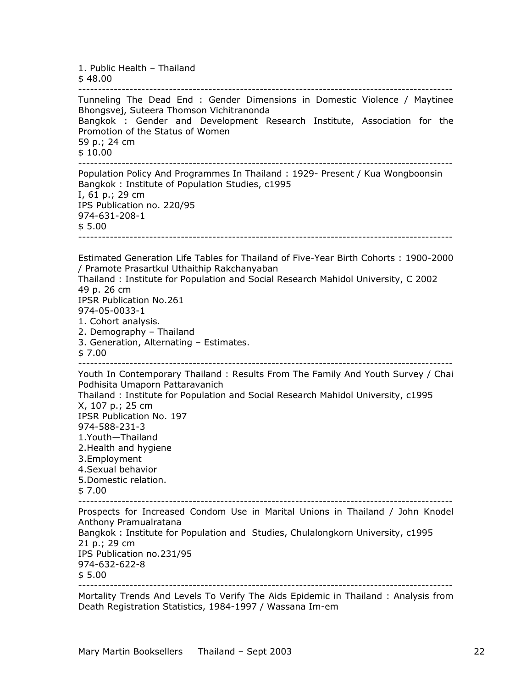1. Public Health – Thailand \$ 48.00 ----------------------------------------------------------------------------------------------- Tunneling The Dead End : Gender Dimensions in Domestic Violence / Maytinee Bhongsvej, Suteera Thomson Vichitranonda Bangkok : Gender and Development Research Institute, Association for the Promotion of the Status of Women 59 p.; 24 cm \$ 10.00 ----------------------------------------------------------------------------------------------- Population Policy And Programmes In Thailand : 1929- Present / Kua Wongboonsin Bangkok : Institute of Population Studies, c1995 I, 61 p.; 29 cm IPS Publication no. 220/95 974-631-208-1  $$5.00$ ----------------------------------------------------------------------------------------------- Estimated Generation Life Tables for Thailand of Five-Year Birth Cohorts : 1900-2000 / Pramote Prasartkul Uthaithip Rakchanyaban Thailand : Institute for Population and Social Research Mahidol University, C 2002 49 p. 26 cm IPSR Publication No.261 974-05-0033-1 1. Cohort analysis. 2. Demography – Thailand 3. Generation, Alternating – Estimates. \$ 7.00 ----------------------------------------------------------------------------------------------- Youth In Contemporary Thailand : Results From The Family And Youth Survey / Chai Podhisita Umaporn Pattaravanich Thailand : Institute for Population and Social Research Mahidol University, c1995 X, 107 p.; 25 cm IPSR Publication No. 197 974-588-231-3 1.Youth—Thailand 2.Health and hygiene 3.Employment 4.Sexual behavior 5.Domestic relation. \$ 7.00 ----------------------------------------------------------------------------------------------- Prospects for Increased Condom Use in Marital Unions in Thailand / John Knodel Anthony Pramualratana Bangkok : Institute for Population and Studies, Chulalongkorn University, c1995 21 p.; 29 cm IPS Publication no.231/95 974-632-622-8 \$ 5.00 -----------------------------------------------------------------------------------------------

Mortality Trends And Levels To Verify The Aids Epidemic in Thailand : Analysis from Death Registration Statistics, 1984-1997 / Wassana Im-em